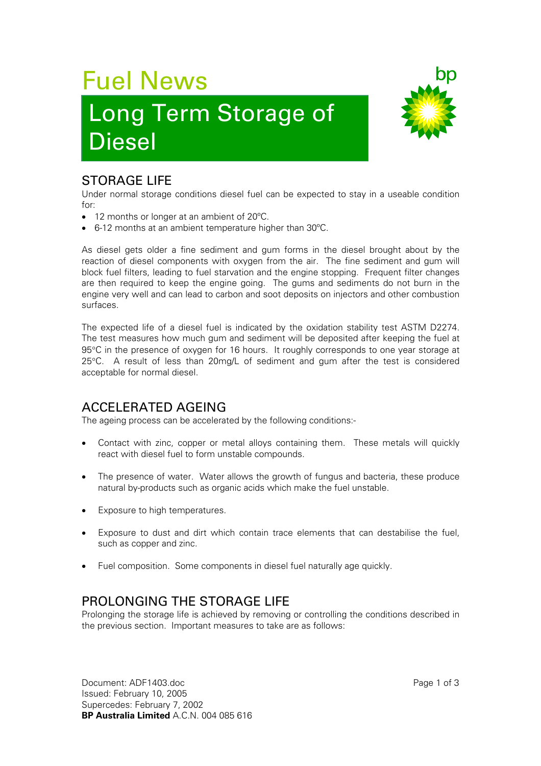# Fuel News

## Long Term Storage of Diesel



#### STORAGE LIFE

Under normal storage conditions diesel fuel can be expected to stay in a useable condition for:

- 12 months or longer at an ambient of 20ºC.
- 6-12 months at an ambient temperature higher than 30ºC.

As diesel gets older a fine sediment and gum forms in the diesel brought about by the reaction of diesel components with oxygen from the air. The fine sediment and gum will block fuel filters, leading to fuel starvation and the engine stopping. Frequent filter changes are then required to keep the engine going. The gums and sediments do not burn in the engine very well and can lead to carbon and soot deposits on injectors and other combustion surfaces.

The expected life of a diesel fuel is indicated by the oxidation stability test ASTM D2274. The test measures how much gum and sediment will be deposited after keeping the fuel at 95°C in the presence of oxygen for 16 hours. It roughly corresponds to one year storage at 25°C. A result of less than 20mg/L of sediment and gum after the test is considered acceptable for normal diesel.

### ACCELERATED AGEING

The ageing process can be accelerated by the following conditions:-

- Contact with zinc, copper or metal alloys containing them. These metals will quickly react with diesel fuel to form unstable compounds.
- The presence of water. Water allows the growth of fungus and bacteria, these produce natural by-products such as organic acids which make the fuel unstable.
- **Exposure to high temperatures.**
- Exposure to dust and dirt which contain trace elements that can destabilise the fuel, such as copper and zinc.
- Fuel composition. Some components in diesel fuel naturally age quickly.

### PROLONGING THE STORAGE LIFE

Prolonging the storage life is achieved by removing or controlling the conditions described in the previous section. Important measures to take are as follows:

Document: ADF1403.doc Page 1 of 3 Issued: February 10, 2005 Supercedes: February 7, 2002 **BP Australia Limited** A.C.N. 004 085 616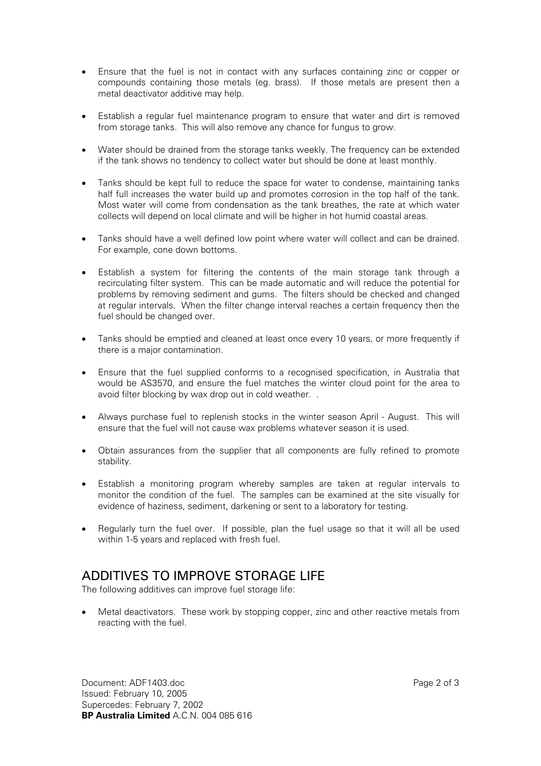- Ensure that the fuel is not in contact with any surfaces containing zinc or copper or compounds containing those metals (eg. brass). If those metals are present then a metal deactivator additive may help.
- Establish a regular fuel maintenance program to ensure that water and dirt is removed from storage tanks. This will also remove any chance for fungus to grow.
- Water should be drained from the storage tanks weekly. The frequency can be extended if the tank shows no tendency to collect water but should be done at least monthly.
- Tanks should be kept full to reduce the space for water to condense, maintaining tanks half full increases the water build up and promotes corrosion in the top half of the tank. Most water will come from condensation as the tank breathes, the rate at which water collects will depend on local climate and will be higher in hot humid coastal areas.
- Tanks should have a well defined low point where water will collect and can be drained. For example, cone down bottoms.
- Establish a system for filtering the contents of the main storage tank through a recirculating filter system. This can be made automatic and will reduce the potential for problems by removing sediment and gums. The filters should be checked and changed at regular intervals. When the filter change interval reaches a certain frequency then the fuel should be changed over.
- Tanks should be emptied and cleaned at least once every 10 years, or more frequently if there is a major contamination.
- Ensure that the fuel supplied conforms to a recognised specification, in Australia that would be AS3570, and ensure the fuel matches the winter cloud point for the area to avoid filter blocking by wax drop out in cold weather. .
- Always purchase fuel to replenish stocks in the winter season April August. This will ensure that the fuel will not cause wax problems whatever season it is used.
- Obtain assurances from the supplier that all components are fully refined to promote stability.
- Establish a monitoring program whereby samples are taken at regular intervals to monitor the condition of the fuel. The samples can be examined at the site visually for evidence of haziness, sediment, darkening or sent to a laboratory for testing.
- Regularly turn the fuel over. If possible, plan the fuel usage so that it will all be used within 1-5 years and replaced with fresh fuel.

#### ADDITIVES TO IMPROVE STORAGE LIFE

The following additives can improve fuel storage life:

• Metal deactivators. These work by stopping copper, zinc and other reactive metals from reacting with the fuel.

Document: ADF1403.doc Page 2 of 3 Issued: February 10, 2005 Supercedes: February 7, 2002 **BP Australia Limited** A.C.N. 004 085 616